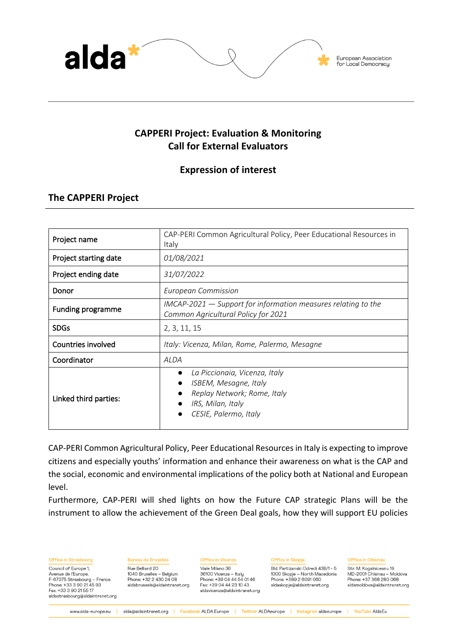

# **CAPPERI Project: Evaluation & Monitoring Call for External Evaluators**

# **Expression of interest**

# **The CAPPERI Project**

aldastrasbourg@aldaintranet.org

| Project name             | CAP-PERI Common Agricultural Policy, Peer Educational Resources in<br>Italy                                                                                                |  |  |  |
|--------------------------|----------------------------------------------------------------------------------------------------------------------------------------------------------------------------|--|--|--|
| Project starting date    | 01/08/2021                                                                                                                                                                 |  |  |  |
| Project ending date      | 31/07/2022                                                                                                                                                                 |  |  |  |
| Donor                    | <b>European Commission</b>                                                                                                                                                 |  |  |  |
| <b>Funding programme</b> | $IMCAP-2021$ $-$ Support for information measures relating to the<br>Common Agricultural Policy for 2021                                                                   |  |  |  |
| <b>SDGs</b>              | 2, 3, 11, 15                                                                                                                                                               |  |  |  |
| Countries involved       | Italy: Vicenza, Milan, Rome, Palermo, Mesagne                                                                                                                              |  |  |  |
| Coordinator              | <b>ALDA</b>                                                                                                                                                                |  |  |  |
| Linked third parties:    | La Piccionaia, Vicenza, Italy<br>$\bullet$<br>ISBEM, Mesagne, Italy<br>$\bullet$<br>Replay Network; Rome, Italy<br>IRS, Milan, Italy<br>$\bullet$<br>CESIE, Palermo, Italy |  |  |  |

CAP-PERI Common Agricultural Policy, Peer Educational Resources in Italy is expecting to improve citizens and especially youths' information and enhance their awareness on what is the CAP and the social, economic and environmental implications of the policy both at National and European level.

Furthermore, CAP-PERI will shed lights on how the Future CAP strategic Plans will be the instrument to allow the achievement of the Green Deal goals, how they will support EU policies

Office in Strasbourg **Bureau de Bruxelles Office in Vicenza** Office in Skopie **Office in Chisinau** Str. M. Kogalniceanu 18<br>MD-2001 Chisinau – Moldova Council of Europe 1, Rue Belliard 20 Viale Milano 36 Bld, Partizanski Odredi 43B/1 - 5 viale Millano 36<br>36100 Vicenza – Italy<br>Phone: +39 04 44 54 01 46 1040 Bruxelles - Belgium 1000 Skopje – North Macedonia Avenue de l'Europe. Phone: +32 2 430 24 08 Phone: +37 368 280 068 F-67075 Strasbourg - France Phone: +389 2 6091 060 Phone: +33 3 90 21 45 93 Fax: +39 04 44 23 10 43 aldabrussels@aldaintranet.org aldaskopje@aldaintranet.org aldamoldova@aldaintranet.org Fax: +33 3 90 21 55 17 aldavicenza@aldaintranet.org

www.alda-europe.eu | alda@aldaintranet.org | Facebook ALDA.Europe | Twitter ALDAeurope | Instagramaldaeurope | YouTube AldaEu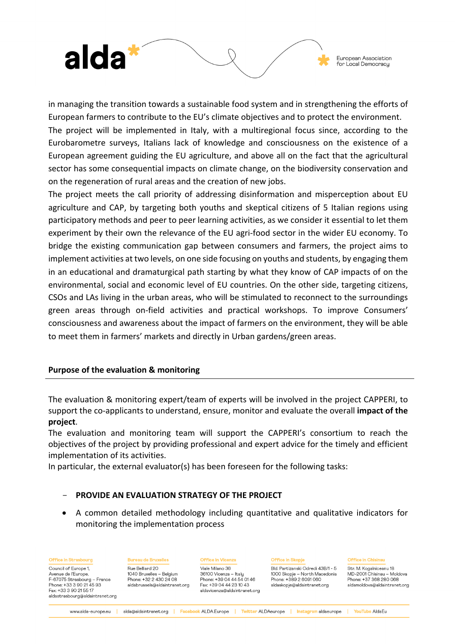

in managing the transition towards a sustainable food system and in strengthening the efforts of European farmers to contribute to the EU's climate objectives and to protect the environment.

The project will be implemented in Italy, with a multiregional focus since, according to the Eurobarometre surveys, Italians lack of knowledge and consciousness on the existence of a European agreement guiding the EU agriculture, and above all on the fact that the agricultural sector has some consequential impacts on climate change, on the biodiversity conservation and on the regeneration of rural areas and the creation of new jobs.

The project meets the call priority of addressing disinformation and misperception about EU agriculture and CAP, by targeting both youths and skeptical citizens of 5 Italian regions using participatory methods and peer to peer learning activities, as we consider it essential to let them experiment by their own the relevance of the EU agri-food sector in the wider EU economy. To bridge the existing communication gap between consumers and farmers, the project aims to implement activities at two levels, on one side focusing on youths and students, by engaging them in an educational and dramaturgical path starting by what they know of CAP impacts of on the environmental, social and economic level of EU countries. On the other side, targeting citizens, CSOs and LAs living in the urban areas, who will be stimulated to reconnect to the surroundings green areas through on-field activities and practical workshops. To improve Consumers' consciousness and awareness about the impact of farmers on the environment, they will be able to meet them in farmers' markets and directly in Urban gardens/green areas.

## **Purpose of the evaluation & monitoring**

Fax: +33 3 90 21 55 17

aldastrasbourg@aldaintranet.org

The evaluation & monitoring expert/team of experts will be involved in the project CAPPERI, to support the co-applicants to understand, ensure, monitor and evaluate the overall **impact of the project**.

The evaluation and monitoring team will support the CAPPERI's consortium to reach the objectives of the project by providing professional and expert advice for the timely and efficient implementation of its activities.

In particular, the external evaluator(s) has been foreseen for the following tasks:

## - **PROVIDE AN EVALUATION STRATEGY OF THE PROJECT**

• A common detailed methodology including quantitative and qualitative indicators for monitoring the implementation process

| <b>Office in Strasbourg</b> | <b>Bureau de Bruxelles</b>    | <b>Office in Vicenza</b>  | Office in Skopje                  | <b>Office in Chisinau</b>    |
|-----------------------------|-------------------------------|---------------------------|-----------------------------------|------------------------------|
| Council of Europe 1,        | Rue Belliard 20               | Viale Milano 36           | Bld. Partizanski Odredi 43B/1 - 5 | Str. M. Kogalniceanu 18      |
| Avenue de l'Europe.         | 1040 Bruxelles – Belgium      | 36100 Vicenza – Italu     | 1000 Skopje – North Macedonia     | MD-2001 Chisinau – Moldova   |
| F-67075 Strasbourg – France | Phone: +32 2 430 24 08        | Phone: +39 04 44 54 01 46 | Phone: +389 2 6091 060            | Phone: +37 368 280 068       |
| Phone: +33 3 90 21 45 93    | aldabrussels@aldaintranet.org | Fax: +39 04 44 23 10 43   | aldaskopje@aldaintranet.org       | aldamoldova@aldaintranet.org |

aldavicenza@aldaintranet.org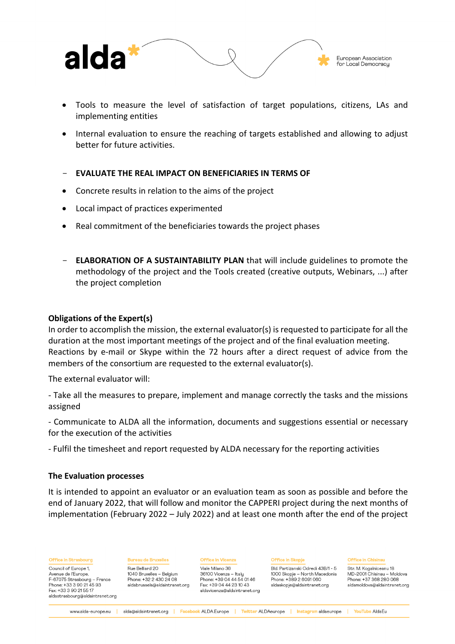

- Tools to measure the level of satisfaction of target populations, citizens, LAs and implementing entities
- Internal evaluation to ensure the reaching of targets established and allowing to adjust better for future activities.
- **EVALUATE THE REAL IMPACT ON BENEFICIARIES IN TERMS OF**
- Concrete results in relation to the aims of the project
- Local impact of practices experimented
- Real commitment of the beneficiaries towards the project phases
- **ELABORATION OF A SUSTAINTABILITY PLAN** that will include guidelines to promote the methodology of the project and the Tools created (creative outputs, Webinars, ...) after the project completion

### **Obligations of the Expert(s)**

In order to accomplish the mission, the external evaluator(s) is requested to participate for all the duration at the most important meetings of the project and of the final evaluation meeting. Reactions by e-mail or Skype within the 72 hours after a direct request of advice from the members of the consortium are requested to the external evaluator(s).

The external evaluator will:

- Take all the measures to prepare, implement and manage correctly the tasks and the missions assigned

- Communicate to ALDA all the information, documents and suggestions essential or necessary for the execution of the activities

- Fulfil the timesheet and report requested by ALDA necessary for the reporting activities

### **The Evaluation processes**

It is intended to appoint an evaluator or an evaluation team as soon as possible and before the end of January 2022, that will follow and monitor the CAPPERI project during the next months of implementation (February 2022 – July 2022) and at least one month after the end of the project

Office in Strasbourg

Council of Europe 1, Avenue de l'Europe. F-67075 Strasbourg - France Phone: +33 3 90 21 45 93 Fax: +33 3 90 21 55 17 aldastrasbourg@aldaintranet.org **Bureau de Bruxelles** Rue Belliard 20 1040 Bruxelles - Belgium Phone: +32 2 430 24 08 aldabrussels@aldaintranet.org **Office in Vicenza** Viale Milano 36

36100 Vicenza - Italu Phone: +39 04 44 54 01 46 Fax: +39 04 44 23 10 43 aldavicenza@aldaintranet.org **Office in Skopie** 

Bld. Partizanski Odredi 43B/1 - 5 1000 Skopje – North Macedonia Phone: +389 2 6091 060 aldaskopje@aldaintranet.org

**Office in Chisinau** 

Str. M. Kogalniceanu 18 MD-2001 Chisinau - Moldova Phone: +37 368 280 068 aldamoldova@aldaintranet.org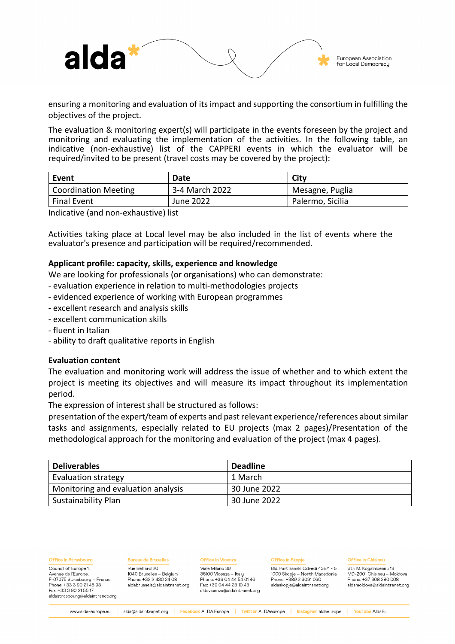

ensuring a monitoring and evaluation of its impact and supporting the consortium in fulfilling the objectives of the project.

The evaluation & monitoring expert(s) will participate in the events foreseen by the project and monitoring and evaluating the implementation of the activities. In the following table, an indicative (non-exhaustive) list of the CAPPERI events in which the evaluator will be required/invited to be present (travel costs may be covered by the project):

| Event                | Date           | City             |
|----------------------|----------------|------------------|
| Coordination Meeting | 3-4 March 2022 | Mesagne, Puglia  |
| <b>Final Event</b>   | June 2022      | Palermo, Sicilia |

Indicative (and non-exhaustive) list

Activities taking place at Local level may be also included in the list of events where the evaluator's presence and participation will be required/recommended.

### **Applicant profile: capacity, skills, experience and knowledge**

We are looking for professionals (or organisations) who can demonstrate:

- evaluation experience in relation to multi-methodologies projects
- evidenced experience of working with European programmes
- excellent research and analysis skills
- excellent communication skills
- fluent in Italian
- ability to draft qualitative reports in English

### **Evaluation content**

The evaluation and monitoring work will address the issue of whether and to which extent the project is meeting its objectives and will measure its impact throughout its implementation period.

The expression of interest shall be structured as follows:

presentation of the expert/team of experts and past relevant experience/references about similar tasks and assignments, especially related to EU projects (max 2 pages)/Presentation of the methodological approach for the monitoring and evaluation of the project (max 4 pages).

| <b>Deliverables</b>                | <b>Deadline</b> |
|------------------------------------|-----------------|
| <b>Evaluation strategy</b>         | 1 March         |
| Monitoring and evaluation analysis | 30 June 2022    |
| Sustainability Plan                | 30 June 2022    |

|  |  |  |  | ٠ |
|--|--|--|--|---|
|  |  |  |  |   |

Council of Europe 1, Avenue de l'Europe. F-67075 Strasbourg - France Phone: +33 3 90 21 45 93 Fax: +33 3 90 21 55 17 aldastrasbourg@aldaintranet.org **Bureau de Bruxelles** 

Rue Belliard 20 1040 Bruxelles - Belgium Phone: +32 2 430 24 08 aldabrussels@aldaintranet.org

## **Office in Vicenza**

Viale Milano 36 36100 Vicenza - Italy Phone: +39 04 44 54 01 46 Fax: +39 04 44 23 10 43 aldavicenza@aldaintranet.org **Office in Skopie** 

Bld. Partizanski Odredi 43B/1 - 5 1000 Skopje - North Macedonia Phone: +389 2 6091 060 aldaskopje@aldaintranet.org

#### Office in Chisinau

Str. M. Kogalniceanu 18 MD-2001 Chisinau - Moldova Phone: +37 368 280 068 aldamoldova@aldaintranet.org